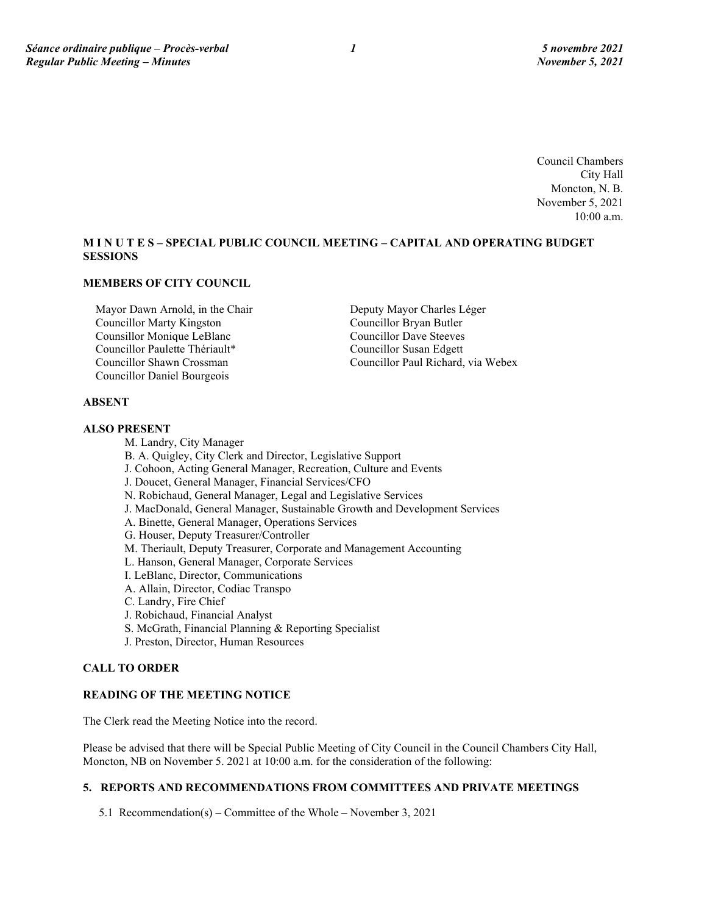Council Chambers City Hall Moncton, N. B. November 5, 2021 10:00 a.m.

# **M I N U T E S – SPECIAL PUBLIC COUNCIL MEETING – CAPITAL AND OPERATING BUDGET SESSIONS**

# **MEMBERS OF CITY COUNCIL**

Mayor Dawn Arnold, in the Chair Councillor Marty Kingston Counsillor Monique LeBlanc Councillor Paulette Thériault\* Councillor Shawn Crossman Councillor Daniel Bourgeois

Deputy Mayor Charles Léger Councillor Bryan Butler Councillor Dave Steeves Councillor Susan Edgett Councillor Paul Richard, via Webex

# **ABSENT**

#### **ALSO PRESENT**

M. Landry, City Manager B. A. Quigley, City Clerk and Director, Legislative Support J. Cohoon, Acting General Manager, Recreation, Culture and Events J. Doucet, General Manager, Financial Services/CFO N. Robichaud, General Manager, Legal and Legislative Services J. MacDonald, General Manager, Sustainable Growth and Development Services A. Binette, General Manager, Operations Services G. Houser, Deputy Treasurer/Controller M. Theriault, Deputy Treasurer, Corporate and Management Accounting L. Hanson, General Manager, Corporate Services I. LeBlanc, Director, Communications A. Allain, Director, Codiac Transpo C. Landry, Fire Chief J. Robichaud, Financial Analyst S. McGrath, Financial Planning & Reporting Specialist J. Preston, Director, Human Resources

## **CALL TO ORDER**

# **READING OF THE MEETING NOTICE**

The Clerk read the Meeting Notice into the record.

Please be advised that there will be Special Public Meeting of City Council in the Council Chambers City Hall, Moncton, NB on November 5. 2021 at 10:00 a.m. for the consideration of the following:

# **5. REPORTS AND RECOMMENDATIONS FROM COMMITTEES AND PRIVATE MEETINGS**

5.1 Recommendation(s) – Committee of the Whole – November 3, 2021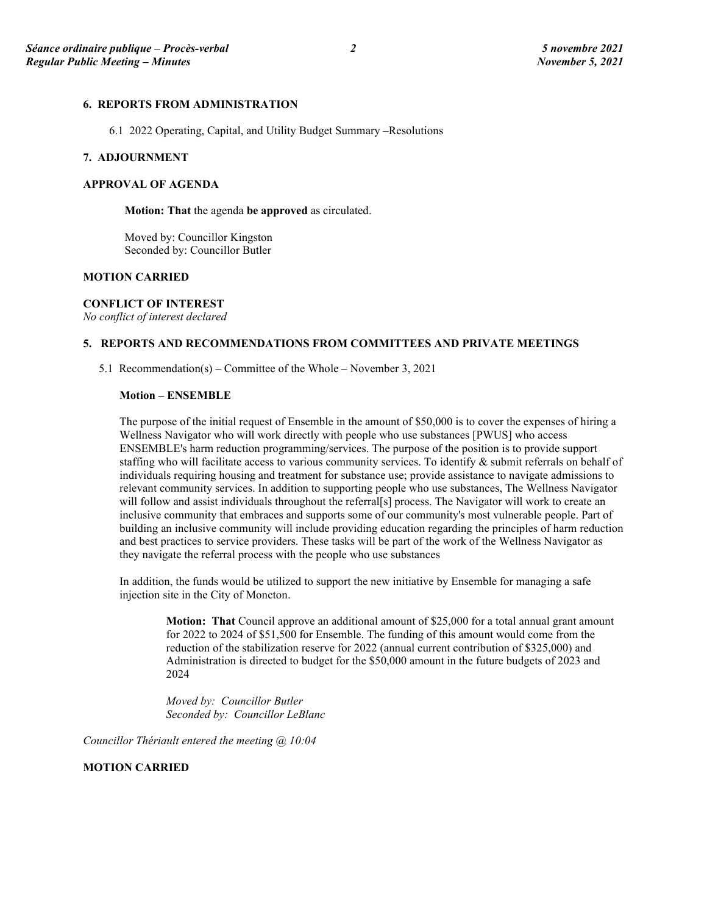# **6. REPORTS FROM ADMINISTRATION**

6.1 2022 Operating, Capital, and Utility Budget Summary –Resolutions

### **7. ADJOURNMENT**

# **APPROVAL OF AGENDA**

**Motion: That** the agenda **be approved** as circulated.

Moved by: Councillor Kingston Seconded by: Councillor Butler

#### **MOTION CARRIED**

## **CONFLICT OF INTEREST**

*No conflict of interest declared*

# **5. REPORTS AND RECOMMENDATIONS FROM COMMITTEES AND PRIVATE MEETINGS**

5.1 Recommendation(s) – Committee of the Whole – November 3, 2021

#### **Motion – ENSEMBLE**

The purpose of the initial request of Ensemble in the amount of \$50,000 is to cover the expenses of hiring a Wellness Navigator who will work directly with people who use substances [PWUS] who access ENSEMBLE's harm reduction programming/services. The purpose of the position is to provide support staffing who will facilitate access to various community services. To identify & submit referrals on behalf of individuals requiring housing and treatment for substance use; provide assistance to navigate admissions to relevant community services. In addition to supporting people who use substances, The Wellness Navigator will follow and assist individuals throughout the referral[s] process. The Navigator will work to create an inclusive community that embraces and supports some of our community's most vulnerable people. Part of building an inclusive community will include providing education regarding the principles of harm reduction and best practices to service providers. These tasks will be part of the work of the Wellness Navigator as they navigate the referral process with the people who use substances

In addition, the funds would be utilized to support the new initiative by Ensemble for managing a safe injection site in the City of Moncton.

**Motion: That** Council approve an additional amount of \$25,000 for a total annual grant amount for 2022 to 2024 of \$51,500 for Ensemble. The funding of this amount would come from the reduction of the stabilization reserve for 2022 (annual current contribution of \$325,000) and Administration is directed to budget for the \$50,000 amount in the future budgets of 2023 and 2024

*Moved by: Councillor Butler Seconded by: Councillor LeBlanc*

*Councillor Thériault entered the meeting @ 10:04*

## **MOTION CARRIED**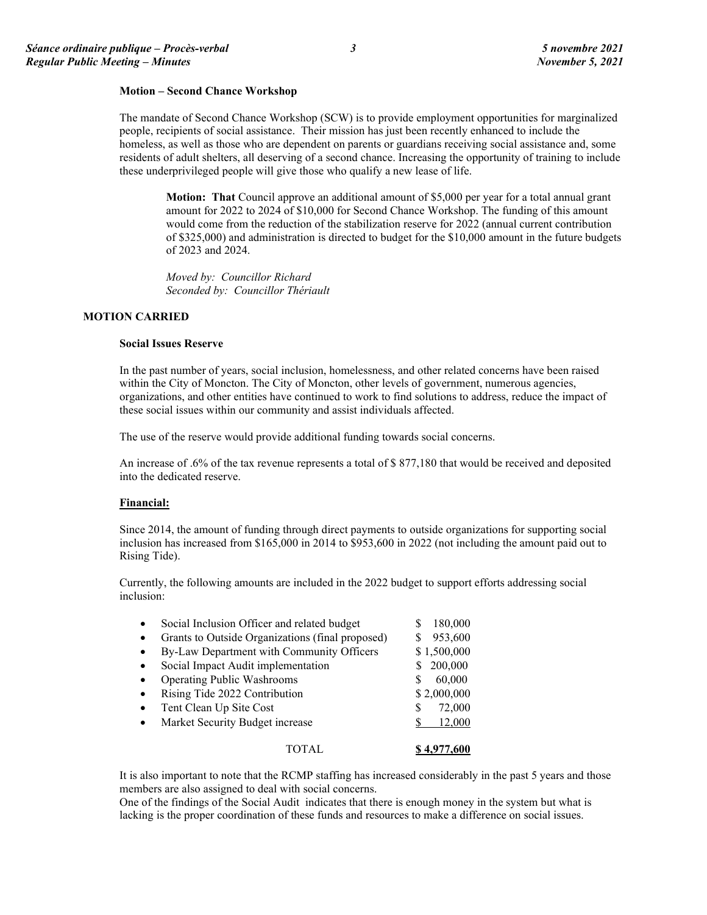#### **Motion – Second Chance Workshop**

The mandate of Second Chance Workshop (SCW) is to provide employment opportunities for marginalized people, recipients of social assistance. Their mission has just been recently enhanced to include the homeless, as well as those who are dependent on parents or guardians receiving social assistance and, some residents of adult shelters, all deserving of a second chance. Increasing the opportunity of training to include these underprivileged people will give those who qualify a new lease of life.

**Motion: That** Council approve an additional amount of \$5,000 per year for a total annual grant amount for 2022 to 2024 of \$10,000 for Second Chance Workshop. The funding of this amount would come from the reduction of the stabilization reserve for 2022 (annual current contribution of \$325,000) and administration is directed to budget for the \$10,000 amount in the future budgets of 2023 and 2024.

*Moved by: Councillor Richard Seconded by: Councillor Thériault*

# **MOTION CARRIED**

#### **Social Issues Reserve**

In the past number of years, social inclusion, homelessness, and other related concerns have been raised within the City of Moncton. The City of Moncton, other levels of government, numerous agencies, organizations, and other entities have continued to work to find solutions to address, reduce the impact of these social issues within our community and assist individuals affected.

The use of the reserve would provide additional funding towards social concerns.

An increase of .6% of the tax revenue represents a total of \$ 877,180 that would be received and deposited into the dedicated reserve.

#### **Financial:**

Since 2014, the amount of funding through direct payments to outside organizations for supporting social inclusion has increased from \$165,000 in 2014 to \$953,600 in 2022 (not including the amount paid out to Rising Tide).

Currently, the following amounts are included in the 2022 budget to support efforts addressing social inclusion:

| $\bullet$ | Social Inclusion Officer and related budget      | 180,000<br>S |
|-----------|--------------------------------------------------|--------------|
| $\bullet$ | Grants to Outside Organizations (final proposed) | 953,600      |
| $\bullet$ | By-Law Department with Community Officers        | \$1,500,000  |
| $\bullet$ | Social Impact Audit implementation               | 200,000      |
| $\bullet$ | <b>Operating Public Washrooms</b>                | 60,000       |
| $\bullet$ | Rising Tide 2022 Contribution                    | \$2,000,000  |
| $\bullet$ | Tent Clean Up Site Cost                          | 72,000<br>S  |
| $\bullet$ | Market Security Budget increase                  | 12,000       |
|           | TOTAL.                                           | \$4.977.600  |

It is also important to note that the RCMP staffing has increased considerably in the past 5 years and those members are also assigned to deal with social concerns.

One of the findings of the Social Audit indicates that there is enough money in the system but what is lacking is the proper coordination of these funds and resources to make a difference on social issues.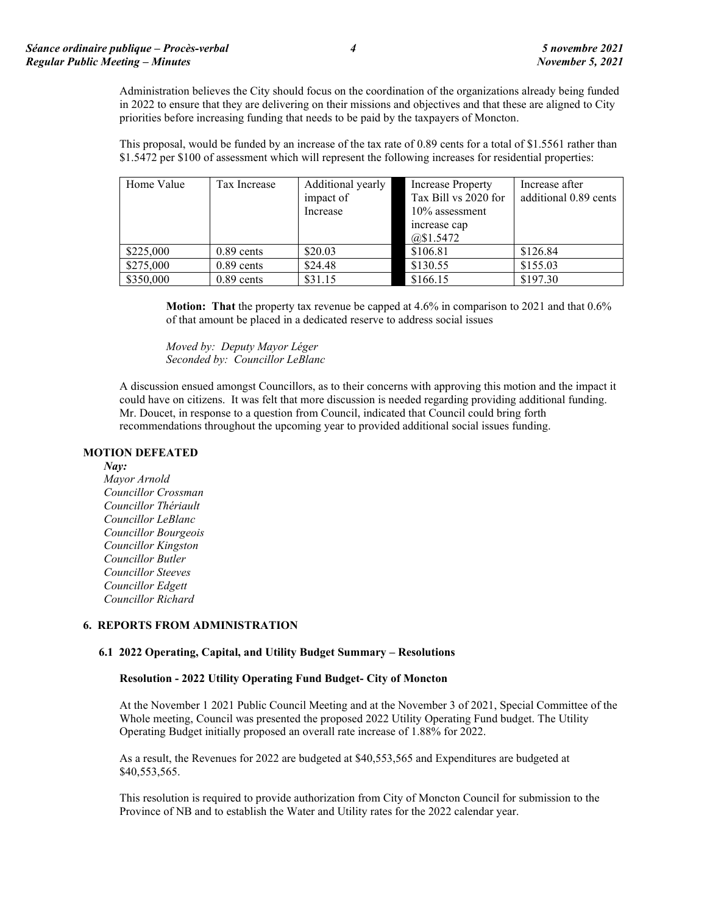Administration believes the City should focus on the coordination of the organizations already being funded in 2022 to ensure that they are delivering on their missions and objectives and that these are aligned to City priorities before increasing funding that needs to be paid by the taxpayers of Moncton.

This proposal, would be funded by an increase of the tax rate of 0.89 cents for a total of \$1.5561 rather than \$1.5472 per \$100 of assessment which will represent the following increases for residential properties:

| Home Value | Tax Increase | Additional yearly<br>impact of<br>Increase | <b>Increase Property</b><br>Tax Bill vs 2020 for<br>$10\%$ assessment<br>increase cap<br>@\$1.5472 | Increase after<br>additional 0.89 cents |
|------------|--------------|--------------------------------------------|----------------------------------------------------------------------------------------------------|-----------------------------------------|
| \$225,000  | $0.89$ cents | \$20.03                                    | \$106.81                                                                                           | \$126.84                                |
| \$275,000  | $0.89$ cents | \$24.48                                    | \$130.55                                                                                           | \$155.03                                |
| \$350,000  | $0.89$ cents | \$31.15                                    | \$166.15                                                                                           | \$197.30                                |

**Motion: That** the property tax revenue be capped at 4.6% in comparison to 2021 and that 0.6% of that amount be placed in a dedicated reserve to address social issues

*Moved by: Deputy Mayor Léger Seconded by: Councillor LeBlanc*

A discussion ensued amongst Councillors, as to their concerns with approving this motion and the impact it could have on citizens. It was felt that more discussion is needed regarding providing additional funding. Mr. Doucet, in response to a question from Council, indicated that Council could bring forth recommendations throughout the upcoming year to provided additional social issues funding.

## **MOTION DEFEATED**

*Nay:*

*Mayor Arnold Councillor Crossman Councillor Thériault Councillor LeBlanc Councillor Bourgeois Councillor Kingston Councillor Butler Councillor Steeves Councillor Edgett Councillor Richard*

## **6. REPORTS FROM ADMINISTRATION**

## **6.1 2022 Operating, Capital, and Utility Budget Summary – Resolutions**

## **Resolution - 2022 Utility Operating Fund Budget- City of Moncton**

At the November 1 2021 Public Council Meeting and at the November 3 of 2021, Special Committee of the Whole meeting, Council was presented the proposed 2022 Utility Operating Fund budget. The Utility Operating Budget initially proposed an overall rate increase of 1.88% for 2022.

As a result, the Revenues for 2022 are budgeted at \$40,553,565 and Expenditures are budgeted at \$40,553,565.

This resolution is required to provide authorization from City of Moncton Council for submission to the Province of NB and to establish the Water and Utility rates for the 2022 calendar year.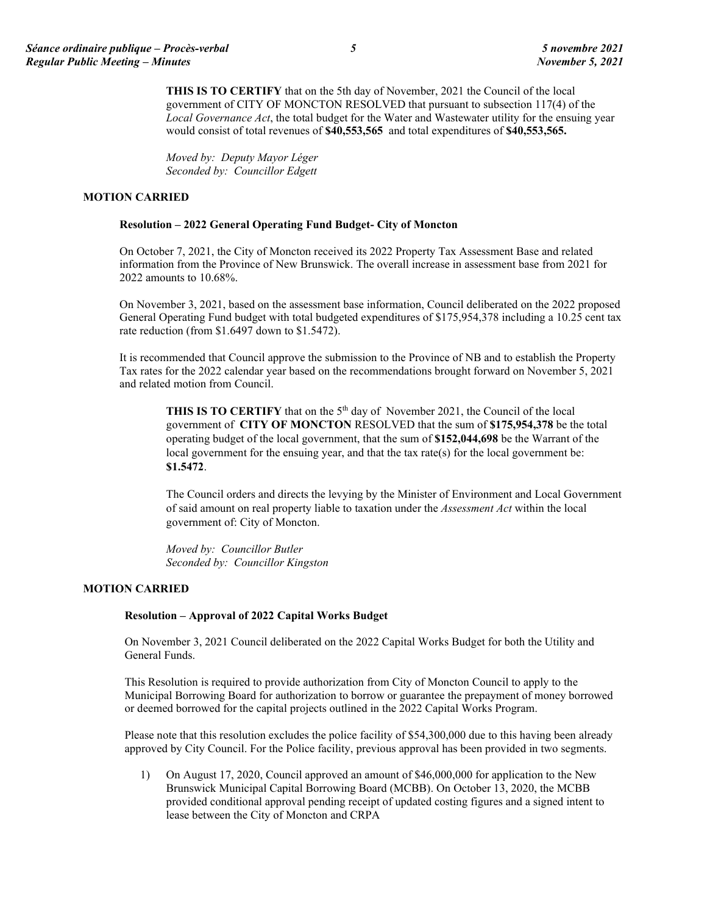**THIS IS TO CERTIFY** that on the 5th day of November, 2021 the Council of the local government of CITY OF MONCTON RESOLVED that pursuant to subsection 117(4) of the *Local Governance Act*, the total budget for the Water and Wastewater utility for the ensuing year would consist of total revenues of **\$40,553,565** and total expenditures of **\$40,553,565.**

*Moved by: Deputy Mayor Léger Seconded by: Councillor Edgett*

# **MOTION CARRIED**

## **Resolution – 2022 General Operating Fund Budget- City of Moncton**

On October 7, 2021, the City of Moncton received its 2022 Property Tax Assessment Base and related information from the Province of New Brunswick. The overall increase in assessment base from 2021 for 2022 amounts to 10.68%.

On November 3, 2021, based on the assessment base information, Council deliberated on the 2022 proposed General Operating Fund budget with total budgeted expenditures of \$175,954,378 including a 10.25 cent tax rate reduction (from \$1.6497 down to \$1.5472).

It is recommended that Council approve the submission to the Province of NB and to establish the Property Tax rates for the 2022 calendar year based on the recommendations brought forward on November 5, 2021 and related motion from Council.

**THIS IS TO CERTIFY** that on the 5<sup>th</sup> day of November 2021, the Council of the local government of **CITY OF MONCTON** RESOLVED that the sum of **\$175,954,378** be the total operating budget of the local government, that the sum of **\$152,044,698** be the Warrant of the local government for the ensuing year, and that the tax rate(s) for the local government be: **\$1.5472**.

The Council orders and directs the levying by the Minister of Environment and Local Government of said amount on real property liable to taxation under the *Assessment Act* within the local government of: City of Moncton.

*Moved by: Councillor Butler Seconded by: Councillor Kingston*

## **MOTION CARRIED**

# **Resolution – Approval of 2022 Capital Works Budget**

On November 3, 2021 Council deliberated on the 2022 Capital Works Budget for both the Utility and General Funds.

This Resolution is required to provide authorization from City of Moncton Council to apply to the Municipal Borrowing Board for authorization to borrow or guarantee the prepayment of money borrowed or deemed borrowed for the capital projects outlined in the 2022 Capital Works Program.

Please note that this resolution excludes the police facility of \$54,300,000 due to this having been already approved by City Council. For the Police facility, previous approval has been provided in two segments.

1) On August 17, 2020, Council approved an amount of \$46,000,000 for application to the New Brunswick Municipal Capital Borrowing Board (MCBB). On October 13, 2020, the MCBB provided conditional approval pending receipt of updated costing figures and a signed intent to lease between the City of Moncton and CRPA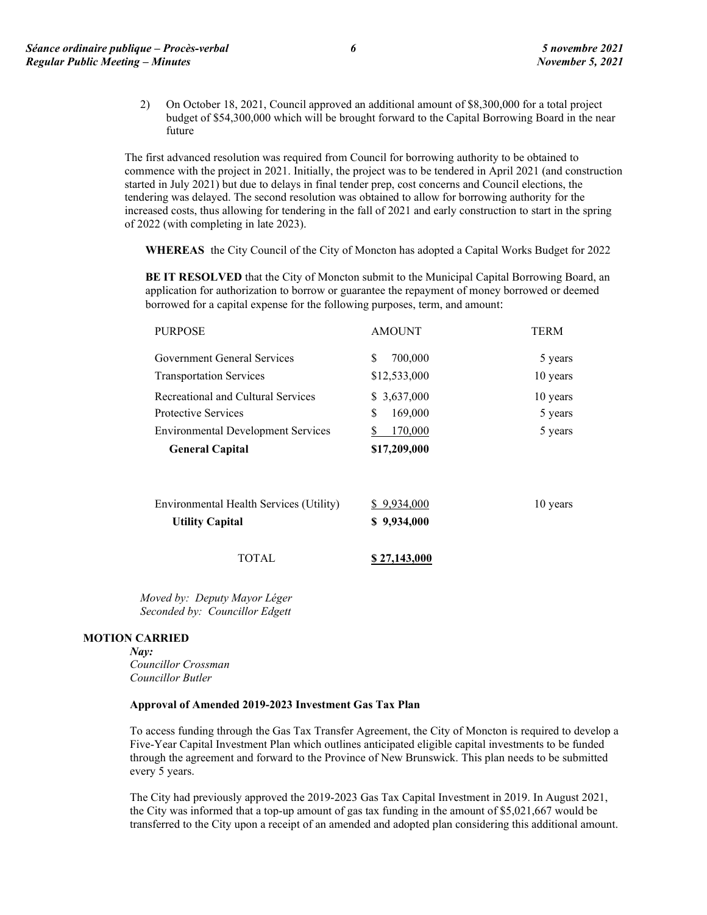2) On October 18, 2021, Council approved an additional amount of \$8,300,000 for a total project budget of \$54,300,000 which will be brought forward to the Capital Borrowing Board in the near future

The first advanced resolution was required from Council for borrowing authority to be obtained to commence with the project in 2021. Initially, the project was to be tendered in April 2021 (and construction started in July 2021) but due to delays in final tender prep, cost concerns and Council elections, the tendering was delayed. The second resolution was obtained to allow for borrowing authority for the increased costs, thus allowing for tendering in the fall of 2021 and early construction to start in the spring of 2022 (with completing in late 2023).

**WHEREAS** the City Council of the City of Moncton has adopted a Capital Works Budget for 2022

**BE IT RESOLVED** that the City of Moncton submit to the Municipal Capital Borrowing Board, an application for authorization to borrow or guarantee the repayment of money borrowed or deemed borrowed for a capital expense for the following purposes, term, and amount:

| <b>PURPOSE</b>                            | <b>AMOUNT</b>  | <b>TERM</b> |
|-------------------------------------------|----------------|-------------|
| Government General Services               | 700,000<br>\$. | 5 years     |
| <b>Transportation Services</b>            | \$12,533,000   | 10 years    |
| Recreational and Cultural Services        | \$ 3,637,000   | 10 years    |
| <b>Protective Services</b>                | \$.<br>169,000 | 5 years     |
| <b>Environmental Development Services</b> | 170,000        | 5 years     |
| <b>General Capital</b>                    | \$17,209,000   |             |
| Environmental Health Services (Utility)   | \$9,934,000    | 10 years    |
| <b>Utility Capital</b>                    | \$9,934,000    |             |
| TOTAL                                     | \$27,143,000   |             |

*Moved by: Deputy Mayor Léger Seconded by: Councillor Edgett*

# **MOTION CARRIED**

*Nay:*

*Councillor Crossman Councillor Butler*

#### **Approval of Amended 2019-2023 Investment Gas Tax Plan**

To access funding through the Gas Tax Transfer Agreement, the City of Moncton is required to develop a Five-Year Capital Investment Plan which outlines anticipated eligible capital investments to be funded through the agreement and forward to the Province of New Brunswick. This plan needs to be submitted every 5 years.

The City had previously approved the 2019-2023 Gas Tax Capital Investment in 2019. In August 2021, the City was informed that a top-up amount of gas tax funding in the amount of \$5,021,667 would be transferred to the City upon a receipt of an amended and adopted plan considering this additional amount.